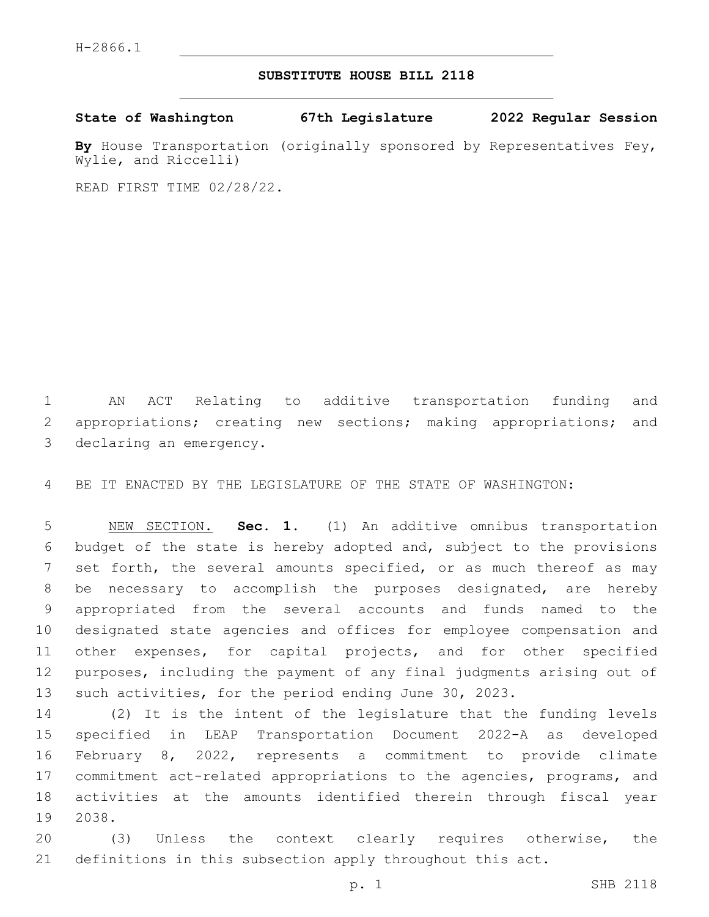#### **SUBSTITUTE HOUSE BILL 2118**

**State of Washington 67th Legislature 2022 Regular Session**

**By** House Transportation (originally sponsored by Representatives Fey, Wylie, and Riccelli)

READ FIRST TIME 02/28/22.

 AN ACT Relating to additive transportation funding and appropriations; creating new sections; making appropriations; and 3 declaring an emergency.

BE IT ENACTED BY THE LEGISLATURE OF THE STATE OF WASHINGTON:

 NEW SECTION. **Sec. 1.** (1) An additive omnibus transportation budget of the state is hereby adopted and, subject to the provisions 7 set forth, the several amounts specified, or as much thereof as may be necessary to accomplish the purposes designated, are hereby appropriated from the several accounts and funds named to the designated state agencies and offices for employee compensation and other expenses, for capital projects, and for other specified purposes, including the payment of any final judgments arising out of such activities, for the period ending June 30, 2023.

 (2) It is the intent of the legislature that the funding levels specified in LEAP Transportation Document 2022-A as developed February 8, 2022, represents a commitment to provide climate commitment act-related appropriations to the agencies, programs, and activities at the amounts identified therein through fiscal year 19 2038.

 (3) Unless the context clearly requires otherwise, the definitions in this subsection apply throughout this act.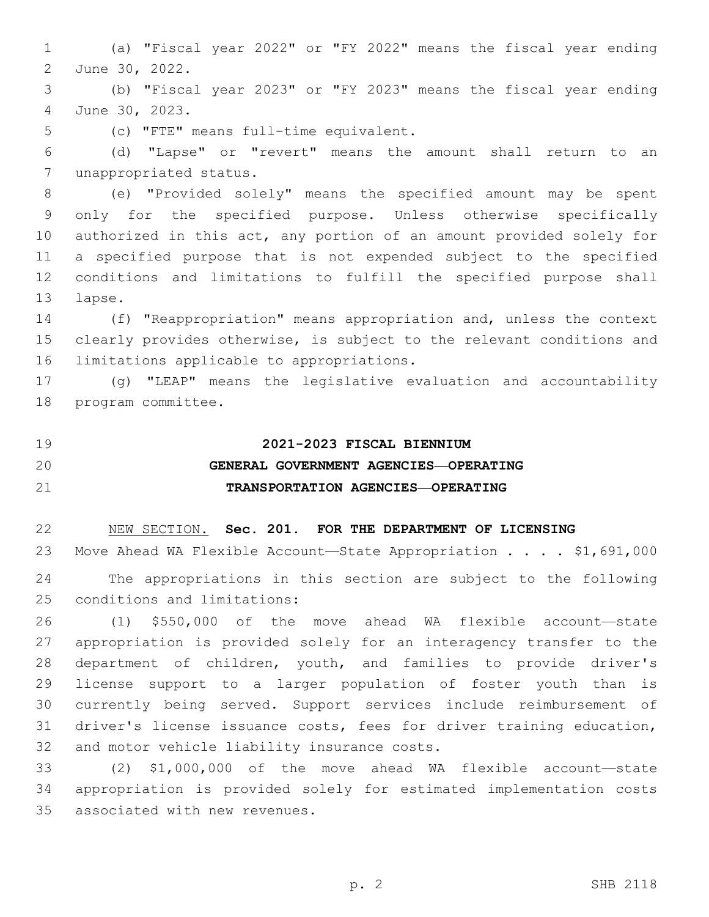(a) "Fiscal year 2022" or "FY 2022" means the fiscal year ending 2 June 30, 2022.

 (b) "Fiscal year 2023" or "FY 2023" means the fiscal year ending June 30, 2023.4

5 (c) "FTE" means full-time equivalent.

 (d) "Lapse" or "revert" means the amount shall return to an 7 unappropriated status.

 (e) "Provided solely" means the specified amount may be spent only for the specified purpose. Unless otherwise specifically authorized in this act, any portion of an amount provided solely for a specified purpose that is not expended subject to the specified conditions and limitations to fulfill the specified purpose shall 13 lapse.

 (f) "Reappropriation" means appropriation and, unless the context clearly provides otherwise, is subject to the relevant conditions and 16 limitations applicable to appropriations.

 (g) "LEAP" means the legislative evaluation and accountability 18 program committee.

**2021-2023 FISCAL BIENNIUM**

## **GENERAL GOVERNMENT AGENCIES—OPERATING TRANSPORTATION AGENCIES—OPERATING**

NEW SECTION. **Sec. 201. FOR THE DEPARTMENT OF LICENSING**

23 Move Ahead WA Flexible Account—State Appropriation . . . . \$1,691,000 The appropriations in this section are subject to the following 25 conditions and limitations:

 (1) \$550,000 of the move ahead WA flexible account—state appropriation is provided solely for an interagency transfer to the department of children, youth, and families to provide driver's license support to a larger population of foster youth than is currently being served. Support services include reimbursement of driver's license issuance costs, fees for driver training education, 32 and motor vehicle liability insurance costs.

 (2) \$1,000,000 of the move ahead WA flexible account—state appropriation is provided solely for estimated implementation costs 35 associated with new revenues.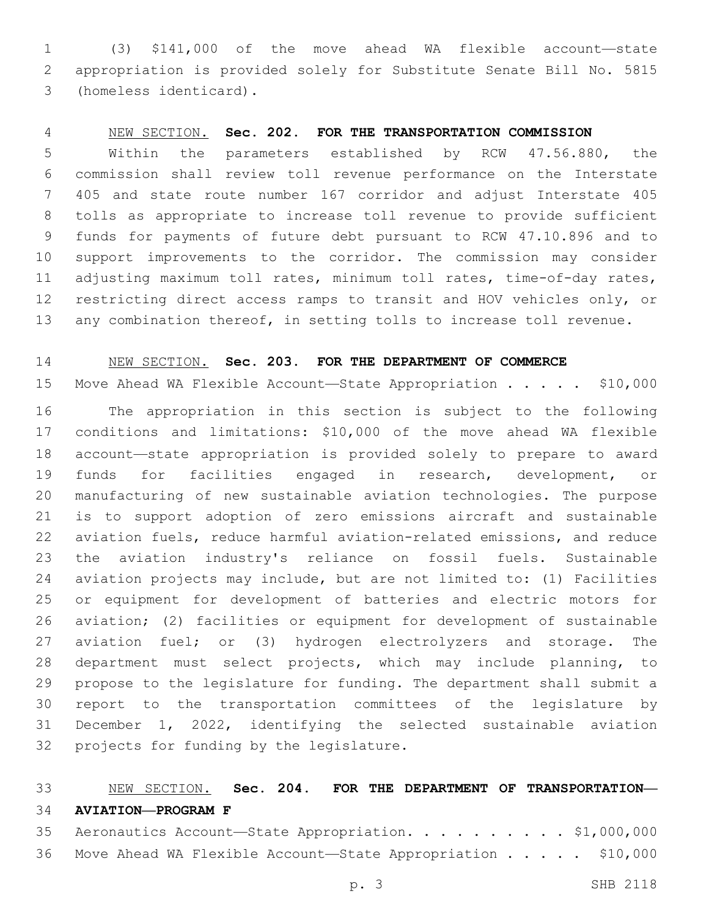(3) \$141,000 of the move ahead WA flexible account—state appropriation is provided solely for Substitute Senate Bill No. 5815 (homeless identicard).3

#### NEW SECTION. **Sec. 202. FOR THE TRANSPORTATION COMMISSION**

 Within the parameters established by RCW 47.56.880, the commission shall review toll revenue performance on the Interstate 405 and state route number 167 corridor and adjust Interstate 405 tolls as appropriate to increase toll revenue to provide sufficient funds for payments of future debt pursuant to RCW 47.10.896 and to support improvements to the corridor. The commission may consider adjusting maximum toll rates, minimum toll rates, time-of-day rates, restricting direct access ramps to transit and HOV vehicles only, or any combination thereof, in setting tolls to increase toll revenue.

#### NEW SECTION. **Sec. 203. FOR THE DEPARTMENT OF COMMERCE**

15 Move Ahead WA Flexible Account—State Appropriation . . . . \$10,000

 The appropriation in this section is subject to the following conditions and limitations: \$10,000 of the move ahead WA flexible account—state appropriation is provided solely to prepare to award funds for facilities engaged in research, development, or manufacturing of new sustainable aviation technologies. The purpose is to support adoption of zero emissions aircraft and sustainable aviation fuels, reduce harmful aviation-related emissions, and reduce the aviation industry's reliance on fossil fuels. Sustainable aviation projects may include, but are not limited to: (1) Facilities or equipment for development of batteries and electric motors for aviation; (2) facilities or equipment for development of sustainable aviation fuel; or (3) hydrogen electrolyzers and storage. The department must select projects, which may include planning, to propose to the legislature for funding. The department shall submit a report to the transportation committees of the legislature by December 1, 2022, identifying the selected sustainable aviation 32 projects for funding by the legislature.

### NEW SECTION. **Sec. 204. FOR THE DEPARTMENT OF TRANSPORTATION— AVIATION—PROGRAM F**

| 35 Aeronautics Account-State Appropriation. \$1,000,000        |  |  |
|----------------------------------------------------------------|--|--|
| 36 Move Ahead WA Flexible Account-State Appropriation \$10,000 |  |  |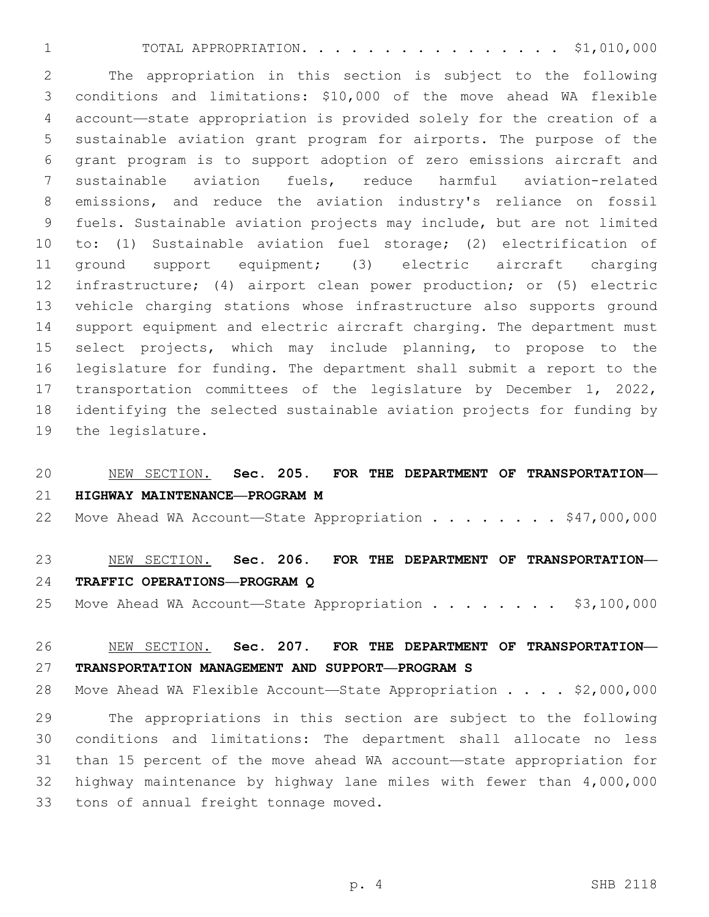TOTAL APPROPRIATION. . . . . . . . . . . . . . . . \$1,010,000

 The appropriation in this section is subject to the following conditions and limitations: \$10,000 of the move ahead WA flexible account—state appropriation is provided solely for the creation of a sustainable aviation grant program for airports. The purpose of the grant program is to support adoption of zero emissions aircraft and sustainable aviation fuels, reduce harmful aviation-related emissions, and reduce the aviation industry's reliance on fossil fuels. Sustainable aviation projects may include, but are not limited to: (1) Sustainable aviation fuel storage; (2) electrification of ground support equipment; (3) electric aircraft charging infrastructure; (4) airport clean power production; or (5) electric vehicle charging stations whose infrastructure also supports ground support equipment and electric aircraft charging. The department must select projects, which may include planning, to propose to the legislature for funding. The department shall submit a report to the transportation committees of the legislature by December 1, 2022, identifying the selected sustainable aviation projects for funding by 19 the legislature.

## NEW SECTION. **Sec. 205. FOR THE DEPARTMENT OF TRANSPORTATION— HIGHWAY MAINTENANCE—PROGRAM M**

22 Move Ahead WA Account-State Appropriation . . . . . . . \$47,000,000

# NEW SECTION. **Sec. 206. FOR THE DEPARTMENT OF TRANSPORTATION— TRAFFIC OPERATIONS—PROGRAM Q**

25 Move Ahead WA Account—State Appropriation . . . . . . . \$3,100,000

## NEW SECTION. **Sec. 207. FOR THE DEPARTMENT OF TRANSPORTATION— TRANSPORTATION MANAGEMENT AND SUPPORT—PROGRAM S**

28 Move Ahead WA Flexible Account-State Appropriation . . . . \$2,000,000

 The appropriations in this section are subject to the following conditions and limitations: The department shall allocate no less than 15 percent of the move ahead WA account—state appropriation for highway maintenance by highway lane miles with fewer than 4,000,000 33 tons of annual freight tonnage moved.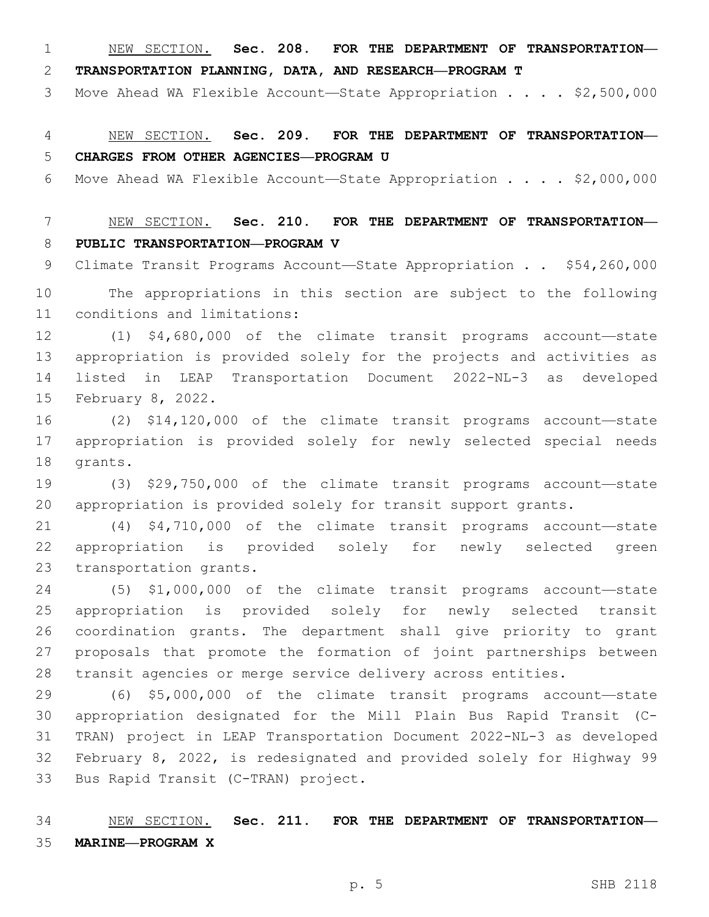NEW SECTION. **Sec. 208. FOR THE DEPARTMENT OF TRANSPORTATION—**

**TRANSPORTATION PLANNING, DATA, AND RESEARCH—PROGRAM T**

3 Move Ahead WA Flexible Account-State Appropriation . . . . \$2,500,000

 NEW SECTION. **Sec. 209. FOR THE DEPARTMENT OF TRANSPORTATION— CHARGES FROM OTHER AGENCIES—PROGRAM U**

Move Ahead WA Flexible Account—State Appropriation . . . . \$2,000,000

 NEW SECTION. **Sec. 210. FOR THE DEPARTMENT OF TRANSPORTATION— PUBLIC TRANSPORTATION—PROGRAM V**

Climate Transit Programs Account—State Appropriation . . \$54,260,000

 The appropriations in this section are subject to the following 11 conditions and limitations:

 (1) \$4,680,000 of the climate transit programs account—state appropriation is provided solely for the projects and activities as listed in LEAP Transportation Document 2022-NL-3 as developed 15 February 8, 2022.

 (2) \$14,120,000 of the climate transit programs account—state appropriation is provided solely for newly selected special needs 18 grants.

 (3) \$29,750,000 of the climate transit programs account—state appropriation is provided solely for transit support grants.

 (4) \$4,710,000 of the climate transit programs account—state appropriation is provided solely for newly selected green 23 transportation grants.

 (5) \$1,000,000 of the climate transit programs account—state appropriation is provided solely for newly selected transit coordination grants. The department shall give priority to grant proposals that promote the formation of joint partnerships between transit agencies or merge service delivery across entities.

 (6) \$5,000,000 of the climate transit programs account—state appropriation designated for the Mill Plain Bus Rapid Transit (C- TRAN) project in LEAP Transportation Document 2022-NL-3 as developed February 8, 2022, is redesignated and provided solely for Highway 99 33 Bus Rapid Transit (C-TRAN) project.

 NEW SECTION. **Sec. 211. FOR THE DEPARTMENT OF TRANSPORTATION— MARINE—PROGRAM X**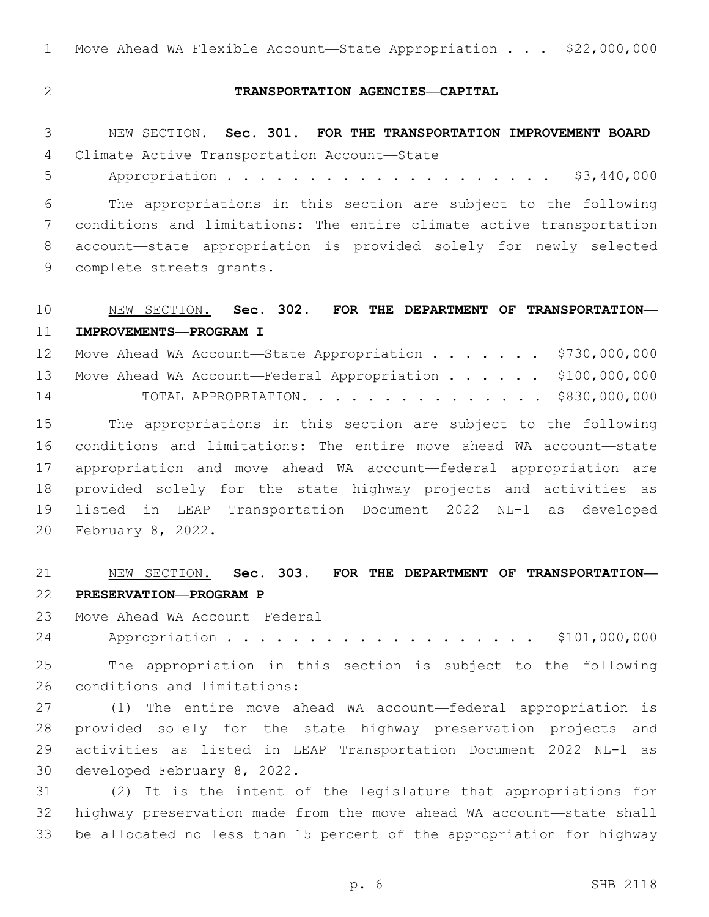1 Move Ahead WA Flexible Account—State Appropriation . . . \$22,000,000

#### **TRANSPORTATION AGENCIES—CAPITAL**

 NEW SECTION. **Sec. 301. FOR THE TRANSPORTATION IMPROVEMENT BOARD** 4 Climate Active Transportation Account-State

Appropriation . . . . . . . . . . . . . . . . . . . . \$3,440,000

 The appropriations in this section are subject to the following conditions and limitations: The entire climate active transportation account—state appropriation is provided solely for newly selected 9 complete streets grants.

## NEW SECTION. **Sec. 302. FOR THE DEPARTMENT OF TRANSPORTATION— IMPROVEMENTS—PROGRAM I**

|    | 12 Move Ahead WA Account-State Appropriation \$730,000,000   |  |
|----|--------------------------------------------------------------|--|
|    | 13 Move Ahead WA Account-Federal Appropriation \$100,000,000 |  |
| 14 | TOTAL APPROPRIATION. \$830,000,000                           |  |

 The appropriations in this section are subject to the following conditions and limitations: The entire move ahead WA account—state appropriation and move ahead WA account—federal appropriation are provided solely for the state highway projects and activities as listed in LEAP Transportation Document 2022 NL-1 as developed 20 February 8, 2022.

# NEW SECTION. **Sec. 303. FOR THE DEPARTMENT OF TRANSPORTATION—**

#### **PRESERVATION—PROGRAM P**

23 Move Ahead WA Account—Federal

24 Appropriation . . . . . . . . . . . . . . . . . \$101,000,000

 The appropriation in this section is subject to the following 26 conditions and limitations:

 (1) The entire move ahead WA account—federal appropriation is provided solely for the state highway preservation projects and activities as listed in LEAP Transportation Document 2022 NL-1 as 30 developed February 8, 2022.

 (2) It is the intent of the legislature that appropriations for highway preservation made from the move ahead WA account—state shall be allocated no less than 15 percent of the appropriation for highway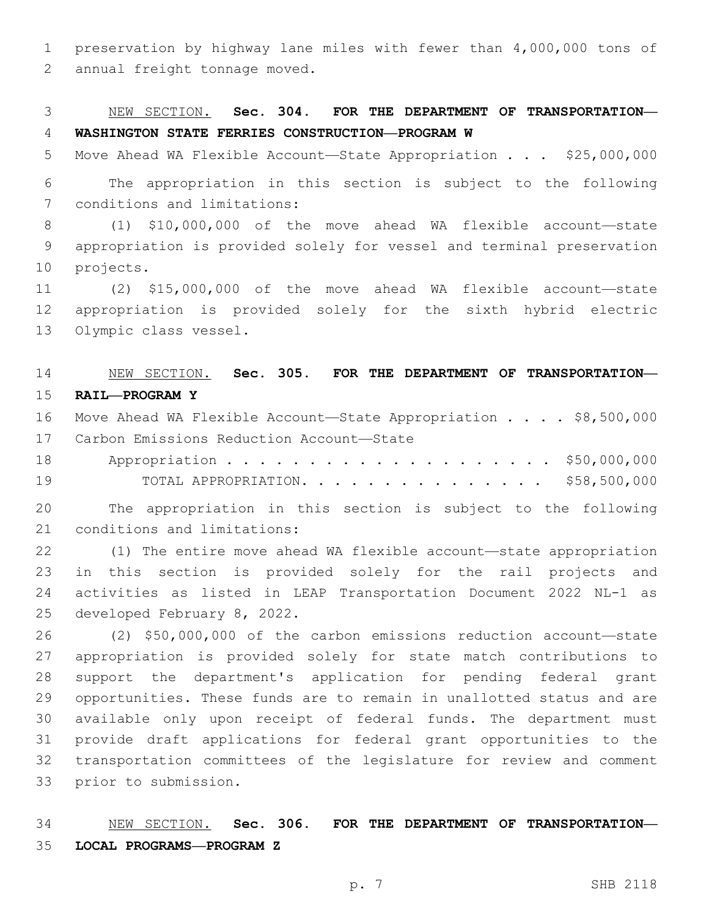preservation by highway lane miles with fewer than 4,000,000 tons of 2 annual freight tonnage moved.

## NEW SECTION. **Sec. 304. FOR THE DEPARTMENT OF TRANSPORTATION— WASHINGTON STATE FERRIES CONSTRUCTION—PROGRAM W**

5 Move Ahead WA Flexible Account-State Appropriation . . . \$25,000,000

 The appropriation in this section is subject to the following 7 conditions and limitations:

 (1) \$10,000,000 of the move ahead WA flexible account—state appropriation is provided solely for vessel and terminal preservation 10 projects.

 (2) \$15,000,000 of the move ahead WA flexible account—state appropriation is provided solely for the sixth hybrid electric 13 Olympic class vessel.

## NEW SECTION. **Sec. 305. FOR THE DEPARTMENT OF TRANSPORTATION— RAIL—PROGRAM Y**

- 16 Move Ahead WA Flexible Account-State Appropriation . . . . \$8,500,000 17 Carbon Emissions Reduction Account-State
- 18 Appropriation . . . . . . . . . . . . . . . . . . \$50,000,000 TOTAL APPROPRIATION. . . . . . . . . . . . . . . \$58,500,000

 The appropriation in this section is subject to the following 21 conditions and limitations:

 (1) The entire move ahead WA flexible account—state appropriation in this section is provided solely for the rail projects and activities as listed in LEAP Transportation Document 2022 NL-1 as 25 developed February 8, 2022.

 (2) \$50,000,000 of the carbon emissions reduction account—state appropriation is provided solely for state match contributions to support the department's application for pending federal grant opportunities. These funds are to remain in unallotted status and are available only upon receipt of federal funds. The department must provide draft applications for federal grant opportunities to the transportation committees of the legislature for review and comment 33 prior to submission.

 NEW SECTION. **Sec. 306. FOR THE DEPARTMENT OF TRANSPORTATION— LOCAL PROGRAMS—PROGRAM Z**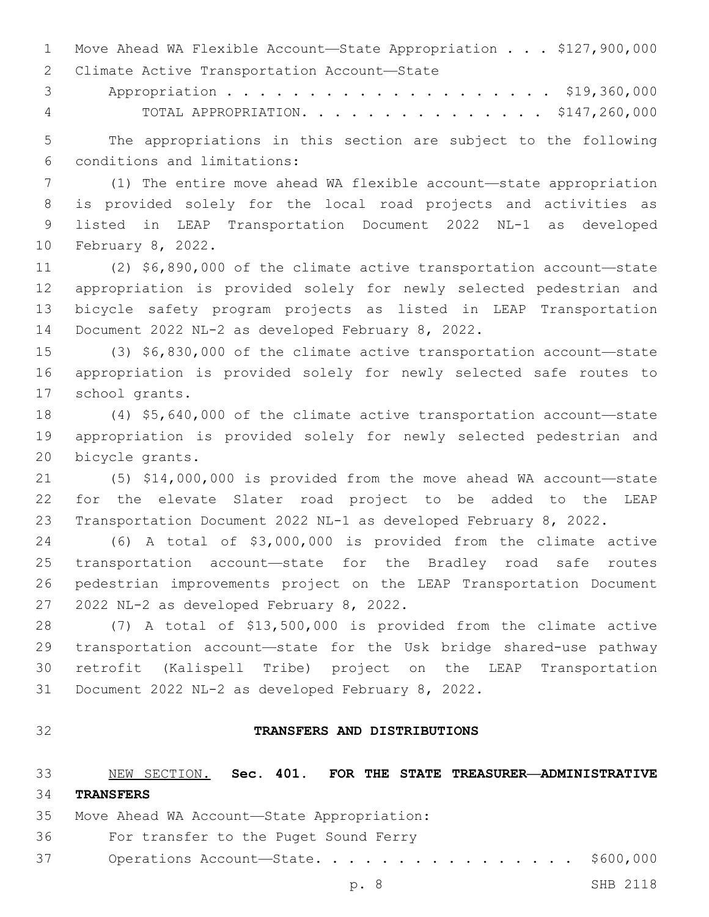Move Ahead WA Flexible Account—State Appropriation . . . \$127,900,000 2 Climate Active Transportation Account-State

3 Appropriation . . . . . . . . . . . . . . . . . . \$19,360,000

TOTAL APPROPRIATION. . . . . . . . . . . . . . . \$147,260,000

 The appropriations in this section are subject to the following conditions and limitations:6

 (1) The entire move ahead WA flexible account—state appropriation is provided solely for the local road projects and activities as listed in LEAP Transportation Document 2022 NL-1 as developed 10 February 8, 2022.

 (2) \$6,890,000 of the climate active transportation account—state appropriation is provided solely for newly selected pedestrian and bicycle safety program projects as listed in LEAP Transportation 14 Document 2022 NL-2 as developed February 8, 2022.

 (3) \$6,830,000 of the climate active transportation account—state appropriation is provided solely for newly selected safe routes to 17 school grants.

 (4) \$5,640,000 of the climate active transportation account—state appropriation is provided solely for newly selected pedestrian and 20 bicycle grants.

 (5) \$14,000,000 is provided from the move ahead WA account—state for the elevate Slater road project to be added to the LEAP Transportation Document 2022 NL-1 as developed February 8, 2022.

 (6) A total of \$3,000,000 is provided from the climate active transportation account—state for the Bradley road safe routes pedestrian improvements project on the LEAP Transportation Document 27 2022 NL-2 as developed February 8, 2022.

 (7) A total of \$13,500,000 is provided from the climate active transportation account—state for the Usk bridge shared-use pathway retrofit (Kalispell Tribe) project on the LEAP Transportation 31 Document 2022 NL-2 as developed February 8, 2022.

#### **TRANSFERS AND DISTRIBUTIONS**

 NEW SECTION. **Sec. 401. FOR THE STATE TREASURER—ADMINISTRATIVE TRANSFERS**

35 Move Ahead WA Account-State Appropriation:

- 36 For transfer to the Puget Sound Ferry
- 37 Operations Account-State. . . . . . . . . . . . . . . \$600,000

p. 8 SHB 2118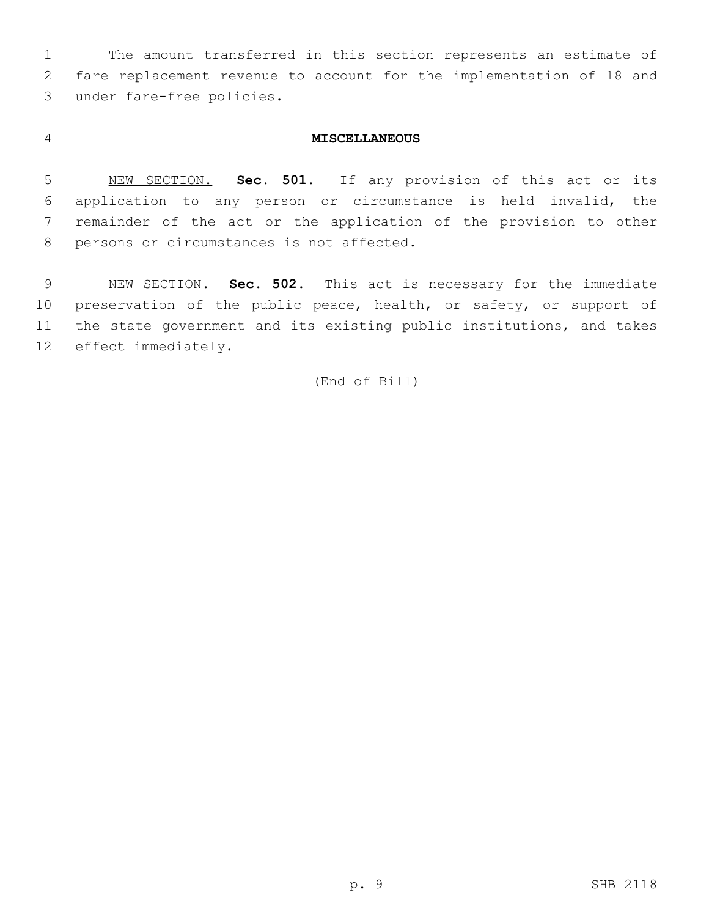The amount transferred in this section represents an estimate of fare replacement revenue to account for the implementation of 18 and 3 under fare-free policies.

#### **MISCELLANEOUS**

 NEW SECTION. **Sec. 501.** If any provision of this act or its application to any person or circumstance is held invalid, the remainder of the act or the application of the provision to other persons or circumstances is not affected.

 NEW SECTION. **Sec. 502.** This act is necessary for the immediate preservation of the public peace, health, or safety, or support of the state government and its existing public institutions, and takes effect immediately.

(End of Bill)